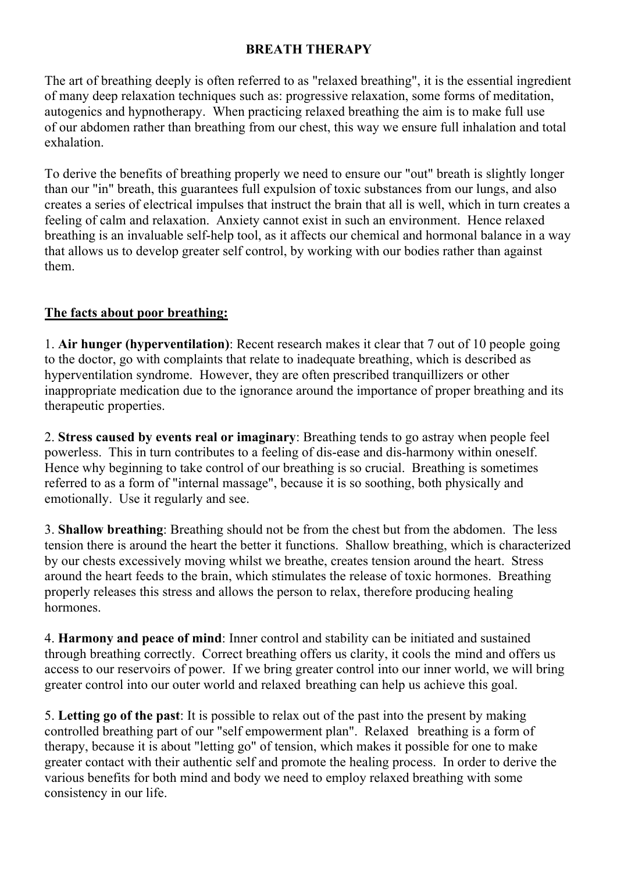## **BREATH THERAPY**

The art of breathing deeply is often referred to as "relaxed breathing", it is the essential ingredient of many deep relaxation techniques such as: progressive relaxation, some forms of meditation, autogenics and hypnotherapy. When practicing relaxed breathing the aim is to make full use of our abdomen rather than breathing from our chest, this way we ensure full inhalation and total exhalation.

To derive the benefits of breathing properly we need to ensure our "out" breath is slightly longer than our "in" breath, this guarantees full expulsion of toxic substances from our lungs, and also creates a series of electrical impulses that instruct the brain that all is well, which in turn creates a feeling of calm and relaxation. Anxiety cannot exist in such an environment. Hence relaxed breathing is an invaluable self-help tool, as it affects our chemical and hormonal balance in a way that allows us to develop greater self control, by working with our bodies rather than against them.

## **The facts about poor breathing:**

1. **Air hunger (hyperventilation)**: Recent research makes it clear that 7 out of 10 people going to the doctor, go with complaints that relate to inadequate breathing, which is described as hyperventilation syndrome. However, they are often prescribed tranquillizers or other inappropriate medication due to the ignorance around the importance of proper breathing and its therapeutic properties.

2. **Stress caused by events real or imaginary**: Breathing tends to go astray when people feel powerless. This in turn contributes to a feeling of dis-ease and dis-harmony within oneself. Hence why beginning to take control of our breathing is so crucial. Breathing is sometimes referred to as a form of "internal massage", because it is so soothing, both physically and emotionally. Use it regularly and see.

3. **Shallow breathing**: Breathing should not be from the chest but from the abdomen. The less tension there is around the heart the better it functions. Shallow breathing, which is characterized by our chests excessively moving whilst we breathe, creates tension around the heart. Stress around the heart feeds to the brain, which stimulates the release of toxic hormones. Breathing properly releases this stress and allows the person to relax, therefore producing healing hormones.

4. **Harmony and peace of mind**: Inner control and stability can be initiated and sustained through breathing correctly. Correct breathing offers us clarity, it cools the mind and offers us access to our reservoirs of power. If we bring greater control into our inner world, we will bring greater control into our outer world and relaxed breathing can help us achieve this goal.

5. **Letting go of the past**: It is possible to relax out of the past into the present by making controlled breathing part of our "self empowerment plan". Relaxed breathing is a form of therapy, because it is about "letting go" of tension, which makes it possible for one to make greater contact with their authentic self and promote the healing process. In order to derive the various benefits for both mind and body we need to employ relaxed breathing with some consistency in our life.